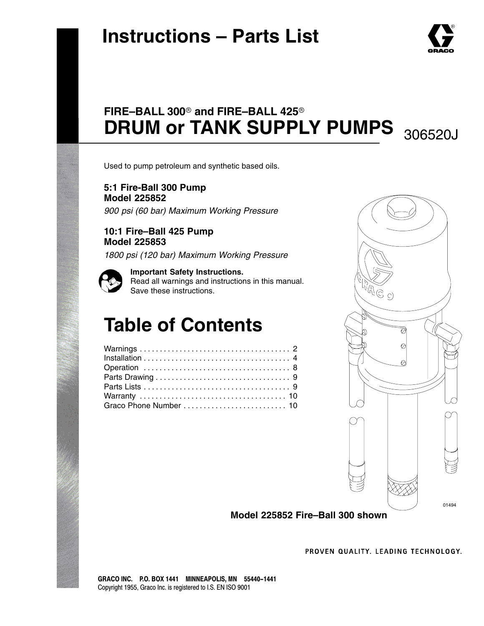# **Instructions – Parts List**



## FIRE-BALL 300<sup>®</sup> and FIRE-BALL 425<sup>®</sup> DRUM or TANK SUPPLY PUMPS 306520J

Used to pump petroleum and synthetic based oils.

**5:1 Fire-Ball 300 Pump Model 225852** *900 psi (60 bar) Maximum Working Pressure*

**10:1 Fire–Ball 425 Pump Model 225853**

*1800 psi (120 bar) Maximum Working Pressure*

**Important Safety Instructions.** Read all warnings and instructions in this manual. Save these instructions.

# **Table of Contents**



**Model 225852 Fire–Ball 300 shown**

PROVEN QUALITY, LEADING TECHNOLOGY.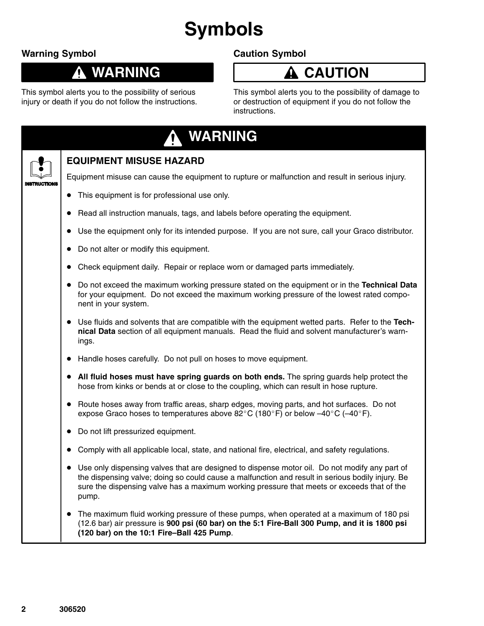# **Symbols**

### **Warning Symbol**

↑

### **WARNING**

This symbol alerts you to the possibility of serious injury or death if you do not follow the instructions.

### **Caution Symbol**

### **A** CAUTION

This symbol alerts you to the possibility of damage to or destruction of equipment if you do not follow the instructions.

| <b>WARNING</b>                                                                                                                                                                                                                                                                                           |
|----------------------------------------------------------------------------------------------------------------------------------------------------------------------------------------------------------------------------------------------------------------------------------------------------------|
| <b>EQUIPMENT MISUSE HAZARD</b>                                                                                                                                                                                                                                                                           |
| Equipment misuse can cause the equipment to rupture or malfunction and result in serious injury.                                                                                                                                                                                                         |
| This equipment is for professional use only.                                                                                                                                                                                                                                                             |
| Read all instruction manuals, tags, and labels before operating the equipment.                                                                                                                                                                                                                           |
| Use the equipment only for its intended purpose. If you are not sure, call your Graco distributor.                                                                                                                                                                                                       |
| Do not alter or modify this equipment.                                                                                                                                                                                                                                                                   |
| Check equipment daily. Repair or replace worn or damaged parts immediately.                                                                                                                                                                                                                              |
| Do not exceed the maximum working pressure stated on the equipment or in the Technical Data<br>for your equipment. Do not exceed the maximum working pressure of the lowest rated compo-<br>nent in your system.                                                                                         |
| Use fluids and solvents that are compatible with the equipment wetted parts. Refer to the Tech-<br>$\bullet$<br>nical Data section of all equipment manuals. Read the fluid and solvent manufacturer's warn-<br>ings.                                                                                    |
| Handle hoses carefully. Do not pull on hoses to move equipment.                                                                                                                                                                                                                                          |
| All fluid hoses must have spring guards on both ends. The spring guards help protect the<br>hose from kinks or bends at or close to the coupling, which can result in hose rupture.                                                                                                                      |
| Route hoses away from traffic areas, sharp edges, moving parts, and hot surfaces. Do not<br>$\bullet$<br>expose Graco hoses to temperatures above 82°C (180°F) or below -40°C (-40°F).                                                                                                                   |
| Do not lift pressurized equipment.                                                                                                                                                                                                                                                                       |
| Comply with all applicable local, state, and national fire, electrical, and safety regulations.                                                                                                                                                                                                          |
| Use only dispensing valves that are designed to dispense motor oil. Do not modify any part of<br>the dispensing valve; doing so could cause a malfunction and result in serious bodily injury. Be<br>sure the dispensing valve has a maximum working pressure that meets or exceeds that of the<br>pump. |
| The maximum fluid working pressure of these pumps, when operated at a maximum of 180 psi<br>$\bullet$<br>(12.6 bar) air pressure is 900 psi (60 bar) on the 5:1 Fire-Ball 300 Pump, and it is 1800 psi<br>(120 bar) on the 10:1 Fire-Ball 425 Pump.                                                      |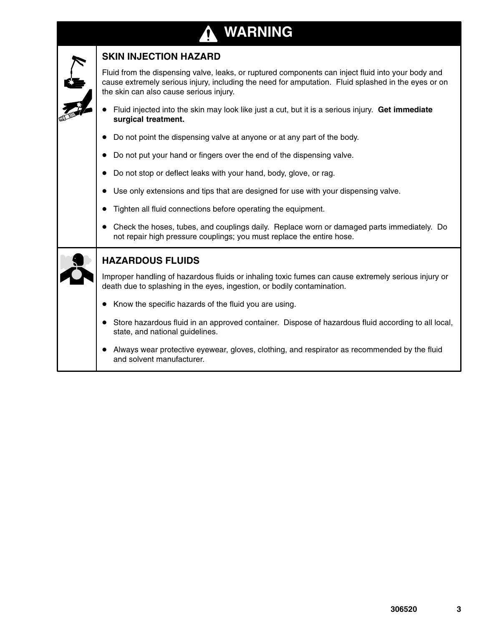## **WARNING**

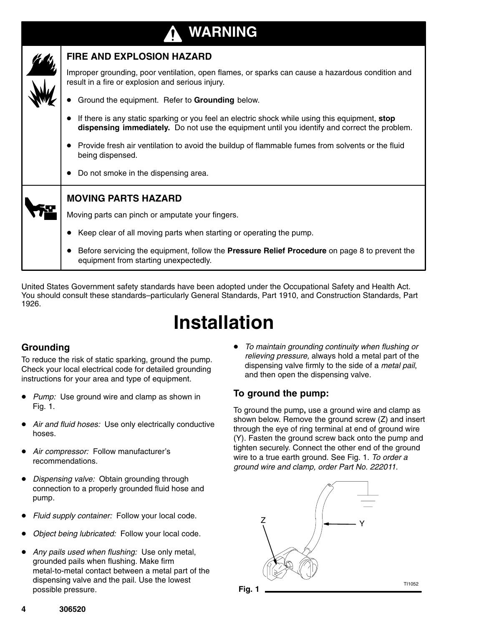

United States Government safety standards have been adopted under the Occupational Safety and Health Act. You should consult these standards–particularly General Standards, Part 1910, and Construction Standards, Part 1926.

# **Installation**

### **Grounding**

To reduce the risk of static sparking, ground the pump. Check your local electrical code for detailed grounding instructions for your area and type of equipment.

- $\bullet$  *Pump:* Use ground wire and clamp as shown in Fig. 1.
- $\bullet$  *Air and fluid hoses:* Use only electrically conductive hoses.
- $\bullet$  *Air compressor:* Follow manufacturer's recommendations.
- *Dispensing valve:* Obtain grounding through connection to a properly grounded fluid hose and pump.
- $\bullet$ *Fluid supply container:* Follow your local code.
- $\bullet$ *Object being lubricated:* Follow your local code.
- *Any pails used when flushing:* Use only metal, grounded pails when flushing. Make firm metal-to-metal contact between a metal part of the dispensing valve and the pail. Use the lowest possible pressure.

 *To maintain grounding continuity when flushing or relieving pressure,* always hold a metal part of the dispensing valve firmly to the side of a *metal pail*, and then open the dispensing valve.

#### **To ground the pump:**

To ground the pump**,** use a ground wire and clamp as shown below. Remove the ground screw (Z) and insert through the eye of ring terminal at end of ground wire (Y). Fasten the ground screw back onto the pump and tighten securely. Connect the other end of the ground wire to a true earth ground. See Fig. 1. *To order a ground wire and clamp, order Part No. 222011.*



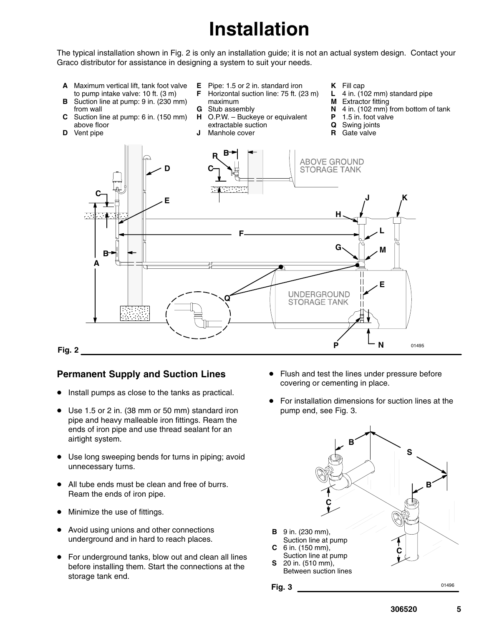# **Installation**

The typical installation shown in Fig. 2 is only an installation guide; it is not an actual system design. Contact your Graco distributor for assistance in designing a system to suit your needs.

**B R A** Maximum vertical lift, tank foot valve to pump intake valve: 10 ft. (3 m) **B** Suction line at pump: 9 in. (230 mm) from wall **C** Suction line at pump: 6 in. (150 mm) above floor **D** Vent pipe **E** Pipe: 1.5 or 2 in. standard iron<br>**F** Horizontal suction line: 75 ft. (2 **F** Horizontal suction line: 75 ft. (23 m) maximum **G** Stub assembly<br>**H** O.P.W. - Bucke O.P.W. – Buckeye or equivalent extractable suction **J** Manhole cover **K** Fill cap **L** 4 in. (102 mm) standard pipe **M** Extractor fitting **N** 4 in. (102 mm) from bottom of tank **P** 1.5 in. foot valve



#### **Fig. 2**

#### **Permanent Supply and Suction Lines**

- **Install pumps as close to the tanks as practical.**
- Use 1.5 or 2 in. (38 mm or 50 mm) standard iron pipe and heavy malleable iron fittings. Ream the ends of iron pipe and use thread sealant for an airtight system.
- $\bullet$  Use long sweeping bends for turns in piping; avoid unnecessary turns.
- All tube ends must be clean and free of burrs. Ream the ends of iron pipe.
- $\bullet$ Minimize the use of fittings.
- Avoid using unions and other connections underground and in hard to reach places.
- $\bullet$  For underground tanks, blow out and clean all lines before installing them. Start the connections at the storage tank end.
- $\bullet$  Flush and test the lines under pressure before covering or cementing in place.
- $\bullet$  For installation dimensions for suction lines at the pump end, see Fig. 3.



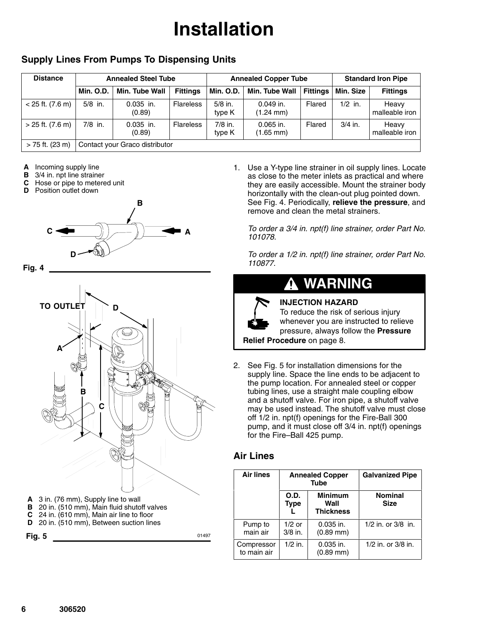# **Installation**

#### **Supply Lines From Pumps To Dispensing Units**

| <b>Distance</b>    |           | <b>Annealed Steel Tube</b>     |                  | <b>Annealed Copper Tube</b> |                                    |                 | <b>Standard Iron Pipe</b> |                         |
|--------------------|-----------|--------------------------------|------------------|-----------------------------|------------------------------------|-----------------|---------------------------|-------------------------|
|                    | Min. O.D. | Min. Tube Wall                 | <b>Fittings</b>  | <b>Min. O.D.</b>            | Min. Tube Wall                     | <b>Fittings</b> | Min. Size                 | <b>Fittings</b>         |
| $<$ 25 ft. (7.6 m) | $5/8$ in. | $0.035$ in.<br>(0.89)          | <b>Flareless</b> | $5/8$ in.<br>type K         | $0.049$ in.<br>$(1.24 \text{ mm})$ | Flared          | $1/2$ in.                 | Heavy<br>malleable iron |
| > 25 ft. (7.6 m)   | $7/8$ in. | $0.035$ in.<br>(0.89)          | <b>Flareless</b> | $7/8$ in.<br>type K         | $0.065$ in.<br>(1.65 mm)           | Flared          | $3/4$ in.                 | Heavy<br>malleable iron |
| > 75 ft. (23 m)    |           | Contact your Graco distributor |                  |                             |                                    |                 |                           |                         |

- **A** Incoming supply line
- **B** 3/4 in. npt line strainer
- **C** Hose or pipe to metered unit<br>**D** Position outlet down
- **Position outlet down**







- 
- **D** 20 in. (510 mm), Between suction lines

**Fig. 5** 01497

1. Use a Y-type line strainer in oil supply lines. Locate as close to the meter inlets as practical and where they are easily accessible. Mount the strainer body horizontally with the clean-out plug pointed down. See Fig. 4. Periodically, **relieve the pressure**, and remove and clean the metal strainers.

*To order a 3/4 in. npt(f) line strainer, order Part No. 101078.* 

*To order a 1/2 in. npt(f) line strainer, order Part No. 110877.*

#### **WARNING** Λ.

**INJECTION HAZARD**



To reduce the risk of serious injury whenever you are instructed to relieve pressure, always follow the **Pressure**

**Relief Procedure** on page 8.

2. See Fig. 5 for installation dimensions for the supply line. Space the line ends to be adjacent to the pump location. For annealed steel or copper tubing lines, use a straight male coupling elbow and a shutoff valve. For iron pipe, a shutoff valve may be used instead. The shutoff valve must close off 1/2 in. npt(f) openings for the Fire-Ball 300 pump, and it must close off 3/4 in. npt(f) openings for the Fire–Ball 425 pump.

#### **Air Lines**

| <b>Air lines</b>          | <b>Annealed Copper</b><br><b>Tube</b> |                                            | <b>Galvanized Pipe</b>        |  |
|---------------------------|---------------------------------------|--------------------------------------------|-------------------------------|--|
|                           | O.D.<br><b>Type</b>                   | <b>Minimum</b><br>Wall<br><b>Thickness</b> | <b>Nominal</b><br><b>Size</b> |  |
| Pump to<br>main air       | $1/2$ or<br>$3/8$ in.                 | $0.035$ in.<br>$(0.89$ mm $)$              | $1/2$ in. or $3/8$ in.        |  |
| Compressor<br>to main air | $1/2$ in.                             | $0.035$ in.<br>$(0.89$ mm $)$              | 1/2 in. or 3/8 in.            |  |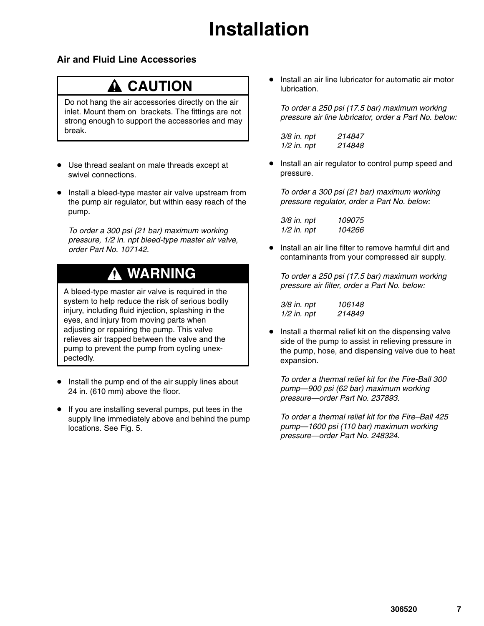# **Installation**

#### **Air and Fluid Line Accessories**

### **A** CAUTION

Do not hang the air accessories directly on the air inlet. Mount them on brackets. The fittings are not strong enough to support the accessories and may break.

- Use thread sealant on male threads except at swivel connections.
- **Install a bleed-type master air valve upstream from** the pump air regulator, but within easy reach of the pump.

*To order a 300 psi (21 bar) maximum working pressure, 1/2 in. npt bleed-type master air valve, order Part No. 107142.*

### **WARNING**

A bleed-type master air valve is required in the system to help reduce the risk of serious bodily injury, including fluid injection, splashing in the eyes, and injury from moving parts when adjusting or repairing the pump. This valve relieves air trapped between the valve and the pump to prevent the pump from cycling unexpectedly.

- **Install the pump end of the air supply lines about** 24 in. (610 mm) above the floor.
- If you are installing several pumps, put tees in the supply line immediately above and behind the pump locations. See Fig. 5.

 $\bullet$  Install an air line lubricator for automatic air motor lubrication.

*To order a 250 psi (17.5 bar) maximum working pressure air line lubricator, order a Part No. below:*

*3/8 in. npt 214847 1/2 in. npt 214848*

 $\bullet$  Install an air regulator to control pump speed and pressure.

*To order a 300 psi (21 bar) maximum working pressure regulator, order a Part No. below:*

| 3/8 in. npt   | 109075 |
|---------------|--------|
| $1/2$ in. npt | 104266 |

 $\bullet$  Install an air line filter to remove harmful dirt and contaminants from your compressed air supply.

*To order a 250 psi (17.5 bar) maximum working pressure air filter, order a Part No. below:*

| 3/8 in. npt   | 106148 |
|---------------|--------|
| $1/2$ in. npt | 214849 |

 $\bullet$  Install a thermal relief kit on the dispensing valve side of the pump to assist in relieving pressure in the pump, hose, and dispensing valve due to heat expansion.

*To order a thermal relief kit for the Fire-Ball 300 pump—900 psi (62 bar) maximum working pressure—order Part No. 237893.*

*To order a thermal relief kit for the Fire–Ball 425 pump—1600 psi (110 bar) maximum working pressure—order Part No. 248324.*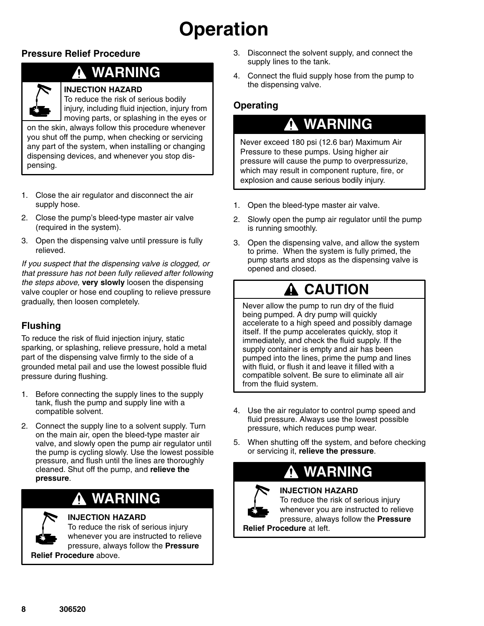# **Operation**

### **Pressure Relief Procedure**

### **WARNING**



#### **INJECTION HAZARD**

To reduce the risk of serious bodily injury, including fluid injection, injury from

moving parts, or splashing in the eyes or on the skin, always follow this procedure whenever you shut off the pump, when checking or servicing any part of the system, when installing or changing dispensing devices, and whenever you stop dispensing.

- 1. Close the air regulator and disconnect the air supply hose.
- 2. Close the pump's bleed-type master air valve (required in the system).
- 3. Open the dispensing valve until pressure is fully relieved.

*If you suspect that the dispensing valve is clogged, or that pressure has not been fully relieved after following the steps above,* **very slowly** loosen the dispensing valve coupler or hose end coupling to relieve pressure gradually, then loosen completely.

### **Flushing**

To reduce the risk of fluid injection injury, static sparking, or splashing, relieve pressure, hold a metal part of the dispensing valve firmly to the side of a grounded metal pail and use the lowest possible fluid pressure during flushing.

- 1. Before connecting the supply lines to the supply tank, flush the pump and supply line with a compatible solvent.
- 2. Connect the supply line to a solvent supply. Turn on the main air, open the bleed-type master air valve, and slowly open the pump air regulator until the pump is cycling slowly. Use the lowest possible pressure, and flush until the lines are thoroughly cleaned. Shut off the pump, and **relieve the pressure**.

### **WARNING**

### **INJECTION HAZARD**

To reduce the risk of serious injury whenever you are instructed to relieve pressure, always follow the **Pressure Relief Procedure** above.

- 3. Disconnect the solvent supply, and connect the supply lines to the tank.
- 4. Connect the fluid supply hose from the pump to the dispensing valve.

### **Operating**

### **WARNING**

Never exceed 180 psi (12.6 bar) Maximum Air Pressure to these pumps. Using higher air pressure will cause the pump to overpressurize, which may result in component rupture, fire, or explosion and cause serious bodily injury.

- 1. Open the bleed-type master air valve.
- 2. Slowly open the pump air regulator until the pump is running smoothly.
- 3. Open the dispensing valve, and allow the system to prime. When the system is fully primed, the pump starts and stops as the dispensing valve is opened and closed.

## **CAUTION**

Never allow the pump to run dry of the fluid being pumped. A dry pump will quickly accelerate to a high speed and possibly damage itself. If the pump accelerates quickly, stop it immediately, and check the fluid supply. If the supply container is empty and air has been pumped into the lines, prime the pump and lines with fluid, or flush it and leave it filled with a compatible solvent. Be sure to eliminate all air from the fluid system.

- 4. Use the air regulator to control pump speed and fluid pressure. Always use the lowest possible pressure, which reduces pump wear.
- 5. When shutting off the system, and before checking or servicing it, **relieve the pressure**.

## **WARNING**



**INJECTION HAZARD** To reduce the risk of serious injury

whenever you are instructed to relieve pressure, always follow the **Pressure**

**Relief Procedure** at left.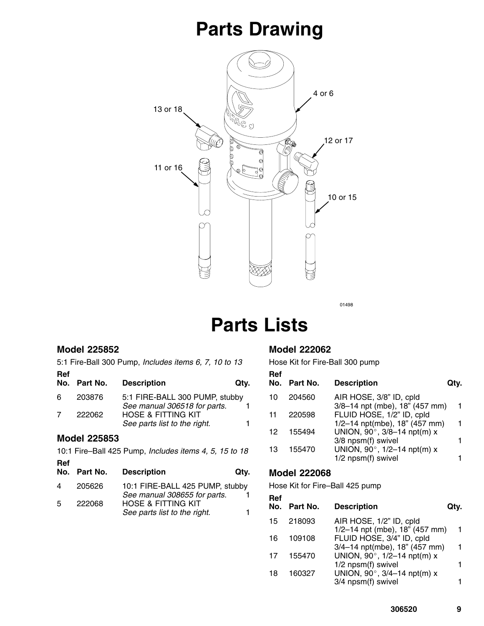# **Parts Drawing**



01498

# **Parts Lists**

#### **Model 225852**

5:1 Fire-Ball 300 Pump, *Includes items 6, 7, 10 to 13* **Ref**

|     | No. Part No.        | <b>Description</b>                                              | Qtv. |  |  |  |
|-----|---------------------|-----------------------------------------------------------------|------|--|--|--|
| 6   | 203876              | 5:1 FIRE-BALL 300 PUMP, stubby<br>See manual 306518 for parts.  |      |  |  |  |
| 7   | 222062              | <b>HOSE &amp; FITTING KIT</b>                                   |      |  |  |  |
|     |                     | See parts list to the right.                                    |      |  |  |  |
|     | <b>Model 225853</b> |                                                                 |      |  |  |  |
|     |                     | 10:1 Fire-Ball 425 Pump, Includes items 4, 5, 15 to 18          |      |  |  |  |
| Ref |                     |                                                                 |      |  |  |  |
| No. | Part No.            | <b>Description</b>                                              | Qtv. |  |  |  |
| 4   | 205626              | 10:1 FIRE-BALL 425 PUMP, stubby<br>See manual 308655 for parts. |      |  |  |  |
| 5   | 222068              | <b>HOSE &amp; FITTING KIT</b>                                   |      |  |  |  |
|     |                     | See parts list to the right.                                    |      |  |  |  |

#### **Model 222062**

Hose Kit for Fire-Ball 300 pump

| Ref<br>No. | Part No. | <b>Description</b>             | Qtv. |
|------------|----------|--------------------------------|------|
| 10         | 204560   | AIR HOSE, 3/8" ID, cpld        |      |
|            |          | 3/8-14 npt (mbe), 18" (457 mm) |      |
| 11         | 220598   | FLUID HOSE, 1/2" ID, cpld      |      |
|            |          | 1/2-14 npt(mbe), 18" (457 mm)  | 1    |
| 12         | 155494   | UNION, 90°, 3/8-14 npt(m) x    |      |
|            |          | 3/8 npsm(f) swivel             |      |
| 13         | 155470   | UNION, 90°, 1/2-14 npt(m) x    |      |
|            |          | $1/2$ npsm(f) swivel           |      |

#### **Model 222068**

Hose Kit for Fire–Ball 425 pump

| Ref | No. Part No. | <b>Description</b>             | Qtv. |
|-----|--------------|--------------------------------|------|
| 15  | 218093       | AIR HOSE, 1/2" ID, cpld        |      |
|     |              | 1/2-14 npt (mbe), 18" (457 mm) | 1    |
| 16  | 109108       | FLUID HOSE, 3/4" ID, cpld      |      |
|     |              | 3/4-14 npt(mbe), 18" (457 mm)  | 1    |
| 17  | 155470       | UNION, 90°, 1/2-14 npt(m) x    |      |
|     |              | 1/2 npsm(f) swivel             | 1    |
| 18  | 160327       | UNION, 90°, 3/4-14 npt(m) x    |      |
|     |              | 3/4 npsm(f) swivel             |      |
|     |              |                                |      |